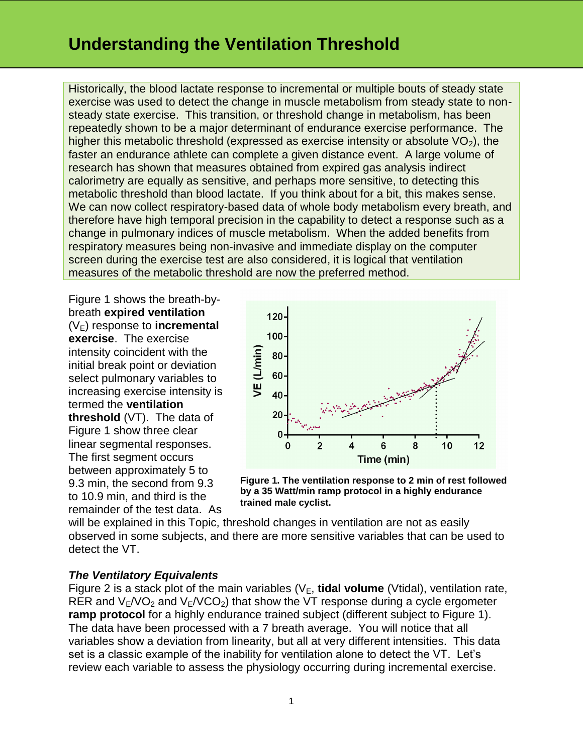Historically, the blood lactate response to incremental or multiple bouts of steady state exercise was used to detect the change in muscle metabolism from steady state to nonsteady state exercise. This transition, or threshold change in metabolism, has been repeatedly shown to be a major determinant of endurance exercise performance. The higher this metabolic threshold (expressed as exercise intensity or absolute  $VO<sub>2</sub>$ ), the faster an endurance athlete can complete a given distance event. A large volume of research has shown that measures obtained from expired gas analysis indirect calorimetry are equally as sensitive, and perhaps more sensitive, to detecting this metabolic threshold than blood lactate. If you think about for a bit, this makes sense. We can now collect respiratory-based data of whole body metabolism every breath, and therefore have high temporal precision in the capability to detect a response such as a change in pulmonary indices of muscle metabolism. When the added benefits from respiratory measures being non-invasive and immediate display on the computer screen during the exercise test are also considered, it is logical that ventilation measures of the metabolic threshold are now the preferred method.

Figure 1 shows the breath-bybreath **expired ventilation**  $(V_F)$  response to **incremental exercise**. The exercise intensity coincident with the initial break point or deviation select pulmonary variables to increasing exercise intensity is termed the **ventilation threshold** (VT). The data of Figure 1 show three clear linear segmental responses. The first segment occurs between approximately 5 to 9.3 min, the second from 9.3 to 10.9 min, and third is the remainder of the test data. As



**Figure 1. The ventilation response to 2 min of rest followed by a 35 Watt/min ramp protocol in a highly endurance trained male cyclist.**

will be explained in this Topic, threshold changes in ventilation are not as easily observed in some subjects, and there are more sensitive variables that can be used to detect the VT.

### *The Ventilatory Equivalents*

Figure 2 is a stack plot of the main variables  $(V_E, \text{tidal volume (Vtidal)}, \text{ventilation rate},$ RER and  $V_{E}/VO_{2}$  and  $V_{E}/VCO_{2}$ ) that show the VT response during a cycle ergometer **ramp protocol** for a highly endurance trained subject (different subject to Figure 1). The data have been processed with a 7 breath average. You will notice that all variables show a deviation from linearity, but all at very different intensities. This data set is a classic example of the inability for ventilation alone to detect the VT. Let's review each variable to assess the physiology occurring during incremental exercise.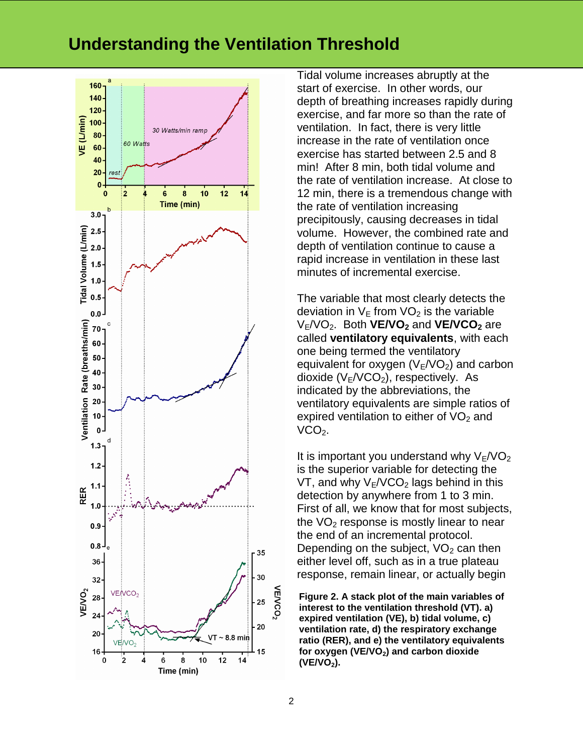

Tidal volume increases abruptly at the start of exercise. In other words, our depth of breathing increases rapidly during exercise, and far more so than the rate of ventilation. In fact, there is very little increase in the rate of ventilation once exercise has started between 2.5 and 8 min! After 8 min, both tidal volume and the rate of ventilation increase. At close to 12 min, there is a tremendous change with the rate of ventilation increasing precipitously, causing decreases in tidal volume. However, the combined rate and depth of ventilation continue to cause a rapid increase in ventilation in these last minutes of incremental exercise.

The variable that most clearly detects the deviation in  $V_E$  from  $VO<sub>2</sub>$  is the variable VE/VO2. Both **VE/VO<sup>2</sup>** and **VE/VCO<sup>2</sup>** are called **ventilatory equivalents**, with each one being termed the ventilatory equivalent for oxygen  $(V_E/VO_2)$  and carbon dioxide  $(V_F/VCO<sub>2</sub>)$ , respectively. As indicated by the abbreviations, the ventilatory equivalents are simple ratios of expired ventilation to either of  $VO<sub>2</sub>$  and  $VCO<sub>2</sub>$ .

It is important you understand why  $V_F/VO_2$ is the superior variable for detecting the VT, and why  $V_F/VCO<sub>2</sub>$  lags behind in this detection by anywhere from 1 to 3 min. First of all, we know that for most subjects, the  $VO<sub>2</sub>$  response is mostly linear to near the end of an incremental protocol. Depending on the subject,  $VO<sub>2</sub>$  can then either level off, such as in a true plateau response, remain linear, or actually begin

**Figure 2. A stack plot of the main variables of interest to the ventilation threshold (VT). a) expired ventilation (VE), b) tidal volume, c) ventilation rate, d) the respiratory exchange ratio (RER), and e) the ventilatory equivalents for oxygen (VE/VO2) and carbon dioxide (VE/VO2).**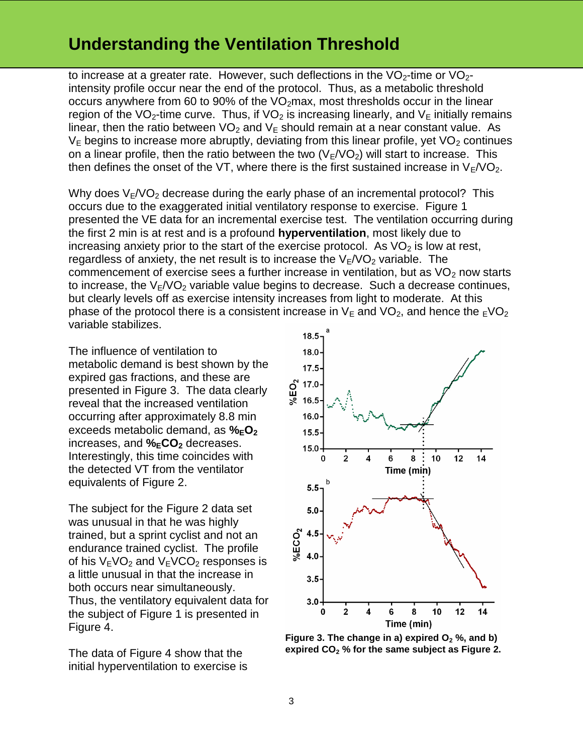to increase at a greater rate. However, such deflections in the  $VO<sub>2</sub>$ -time or  $VO<sub>2</sub>$ intensity profile occur near the end of the protocol. Thus, as a metabolic threshold occurs anywhere from 60 to 90% of the  $VO<sub>2</sub>max$ , most thresholds occur in the linear region of the VO<sub>2</sub>-time curve. Thus, if VO<sub>2</sub> is increasing linearly, and  $V_F$  initially remains linear, then the ratio between  $VO<sub>2</sub>$  and  $V<sub>E</sub>$  should remain at a near constant value. As  $V_F$  begins to increase more abruptly, deviating from this linear profile, yet  $VO<sub>2</sub>$  continues on a linear profile, then the ratio between the two  $(V_F/VO_2)$  will start to increase. This then defines the onset of the VT, where there is the first sustained increase in  $V_{E}/VO_{2}$ .

Why does  $V_{E}/VO_{2}$  decrease during the early phase of an incremental protocol? This occurs due to the exaggerated initial ventilatory response to exercise. Figure 1 presented the VE data for an incremental exercise test. The ventilation occurring during the first 2 min is at rest and is a profound **hyperventilation**, most likely due to increasing anxiety prior to the start of the exercise protocol. As  $VO<sub>2</sub>$  is low at rest, regardless of anxiety, the net result is to increase the  $V_E/VO_2$  variable. The commencement of exercise sees a further increase in ventilation, but as  $VO<sub>2</sub>$  now starts to increase, the  $V_F/VO_2$  variable value begins to decrease. Such a decrease continues, but clearly levels off as exercise intensity increases from light to moderate. At this phase of the protocol there is a consistent increase in  $V_E$  and  $VO_2$ , and hence the  $EVO_2$ variable stabilizes.

The influence of ventilation to metabolic demand is best shown by the expired gas fractions, and these are presented in Figure 3. The data clearly reveal that the increased ventilation occurring after approximately 8.8 min exceeds metabolic demand, as **%EO<sup>2</sup>** increases, and **%ECO<sup>2</sup>** decreases. Interestingly, this time coincides with the detected VT from the ventilator equivalents of Figure 2.

The subject for the Figure 2 data set was unusual in that he was highly trained, but a sprint cyclist and not an endurance trained cyclist. The profile of his  $V_{E}VO_{2}$  and  $V_{E}VCO_{2}$  responses is a little unusual in that the increase in both occurs near simultaneously. Thus, the ventilatory equivalent data for the subject of Figure 1 is presented in Figure 4.

The data of Figure 4 show that the initial hyperventilation to exercise is



**Figure 3. The change in a) expired O<sup>2</sup> %, and b) expired CO<sup>2</sup> % for the same subject as Figure 2.**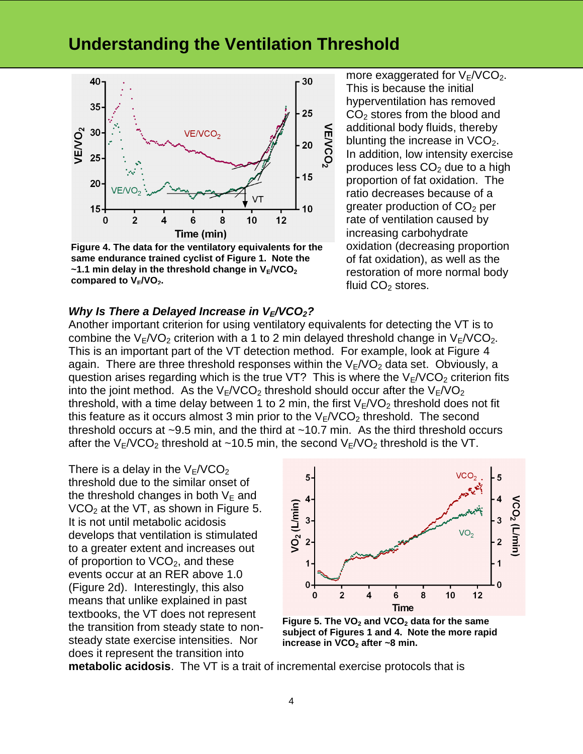

**Figure 4. The data for the ventilatory equivalents for the same endurance trained cyclist of Figure 1. Note the**   $\sim$ 1.1 min delay in the threshold change in  $V_F/VCO_2$ **compared to VE/VO2.**

more exaggerated for  $V_F/VCO_2$ . This is because the initial hyperventilation has removed  $CO<sub>2</sub>$  stores from the blood and additional body fluids, thereby blunting the increase in  $VCO<sub>2</sub>$ . In addition, low intensity exercise produces less  $CO<sub>2</sub>$  due to a high proportion of fat oxidation. The ratio decreases because of a greater production of  $CO<sub>2</sub>$  per rate of ventilation caused by increasing carbohydrate oxidation (decreasing proportion of fat oxidation), as well as the restoration of more normal body fluid  $CO<sub>2</sub>$  stores.

#### *Why Is There a Delayed Increase in VE/VCO2?*

Another important criterion for using ventilatory equivalents for detecting the VT is to combine the  $V_F/VO_2$  criterion with a 1 to 2 min delayed threshold change in  $V_F/VCO_2$ . This is an important part of the VT detection method. For example, look at Figure 4 again. There are three threshold responses within the  $V_E/VO_2$  data set. Obviously, a question arises regarding which is the true VT? This is where the  $V_F/VCO_2$  criterion fits into the joint method. As the  $V_{E}/VCO_{2}$  threshold should occur after the  $V_{E}/VO_{2}$ threshold, with a time delay between 1 to 2 min, the first  $V_F/VO_2$  threshold does not fit this feature as it occurs almost 3 min prior to the  $V_F/VCO_2$  threshold. The second threshold occurs at ~9.5 min, and the third at ~10.7 min. As the third threshold occurs after the  $V_{E}/VCO_{2}$  threshold at ~10.5 min, the second  $V_{E}/VO_{2}$  threshold is the VT.

There is a delay in the  $V_F/VCO<sub>2</sub>$ threshold due to the similar onset of the threshold changes in both  $V_{E}$  and  $VCO<sub>2</sub>$  at the VT, as shown in Figure 5. It is not until metabolic acidosis develops that ventilation is stimulated to a greater extent and increases out of proportion to  $VCO<sub>2</sub>$ , and these events occur at an RER above 1.0 (Figure 2d). Interestingly, this also means that unlike explained in past textbooks, the VT does not represent the transition from steady state to nonsteady state exercise intensities. Nor does it represent the transition into



**Figure 5. The VO<sup>2</sup> and VCO<sup>2</sup> data for the same subject of Figures 1 and 4. Note the more rapid increase in VCO<sup>2</sup> after ~8 min.**

**metabolic acidosis**. The VT is a trait of incremental exercise protocols that is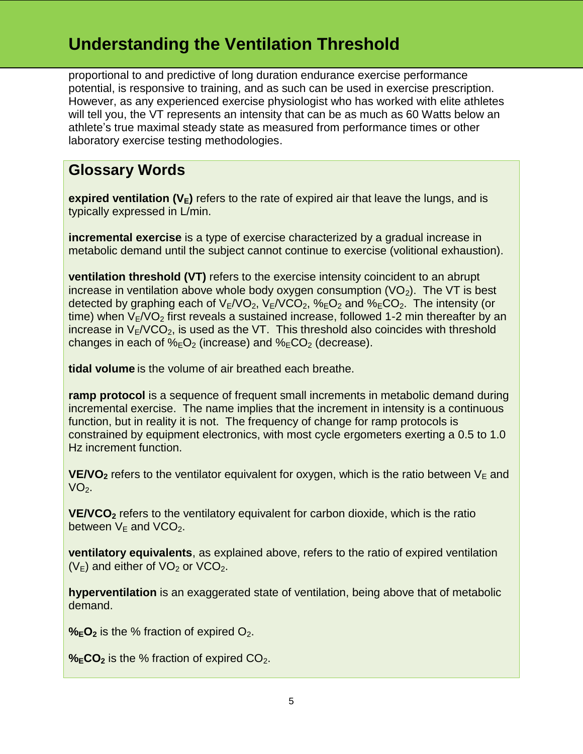proportional to and predictive of long duration endurance exercise performance potential, is responsive to training, and as such can be used in exercise prescription. However, as any experienced exercise physiologist who has worked with elite athletes will tell you, the VT represents an intensity that can be as much as 60 Watts below an athlete's true maximal steady state as measured from performance times or other laboratory exercise testing methodologies.

### **Glossary Words**

**expired ventilation**  $(V_E)$  refers to the rate of expired air that leave the lungs, and is typically expressed in L/min.

**incremental exercise** is a type of exercise characterized by a gradual increase in metabolic demand until the subject cannot continue to exercise (volitional exhaustion).

**ventilation threshold (VT)** refers to the exercise intensity coincident to an abrupt increase in ventilation above whole body oxygen consumption  $(VO<sub>2</sub>)$ . The VT is best detected by graphing each of  $V_{E}/VO_{2}$ ,  $V_{E}/VCO_{2}$ ,  $\%_{E}O_{2}$  and  $\%_{E}CO_{2}$ . The intensity (or time) when  $V_F/VO<sub>2</sub>$  first reveals a sustained increase, followed 1-2 min thereafter by an increase in  $V_{E}/VCO_{2}$ , is used as the VT. This threshold also coincides with threshold changes in each of  $\%_E O_2$  (increase) and  $\%_E CO_2$  (decrease).

**tidal volume** is the volume of air breathed each breathe.

**ramp protocol** is a sequence of frequent small increments in metabolic demand during incremental exercise. The name implies that the increment in intensity is a continuous function, but in reality it is not. The frequency of change for ramp protocols is constrained by equipment electronics, with most cycle ergometers exerting a 0.5 to 1.0 Hz increment function.

**VE/VO<sub>2</sub>** refers to the ventilator equivalent for oxygen, which is the ratio between  $V<sub>E</sub>$  and  $VO<sub>2</sub>$ .

**VE/VCO<sup>2</sup>** refers to the ventilatory equivalent for carbon dioxide, which is the ratio between  $V_F$  and VCO<sub>2</sub>.

**ventilatory equivalents**, as explained above, refers to the ratio of expired ventilation  $(V_F)$  and either of  $VO<sub>2</sub>$  or  $VCO<sub>2</sub>$ .

**hyperventilation** is an exaggerated state of ventilation, being above that of metabolic demand.

 $\%$ **EO**<sub>2</sub> is the % fraction of expired O<sub>2</sub>.

**%ECO**<sub>2</sub> is the % fraction of expired CO<sub>2</sub>.